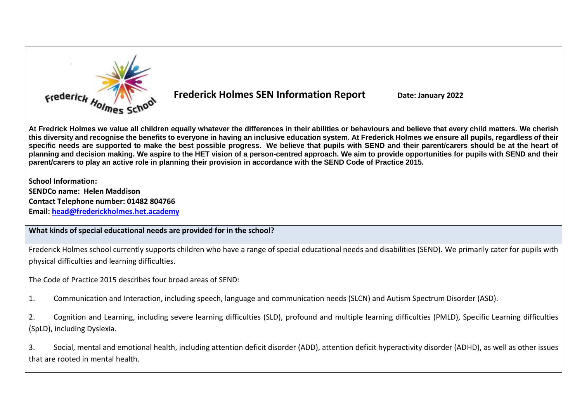

**Frederick Holmes SEN Information Report** Date: January 2022

**At Fredrick Holmes we value all children equally whatever the differences in their abilities or behaviours and believe that every child matters. We cherish this diversity and recognise the benefits to everyone in having an inclusive education system. At Frederick Holmes we ensure all pupils, regardless of their specific needs are supported to make the best possible progress. We believe that pupils with SEND and their parent/carers should be at the heart of planning and decision making. We aspire to the HET vision of a person-centred approach. We aim to provide opportunities for pupils with SEND and their parent/carers to play an active role in planning their provision in accordance with the SEND Code of Practice 2015.**

**School Information: SENDCo name: Helen Maddison Contact Telephone number: 01482 804766**

**Email: [head@frederickholmes.het.academy](mailto:head@frederickholmes.het.academy)**

# **What kinds of special educational needs are provided for in the school?**

Frederick Holmes school currently supports children who have a range of special educational needs and disabilities (SEND). We primarily cater for pupils with physical difficulties and learning difficulties.

The Code of Practice 2015 describes four broad areas of SEND:

1. Communication and Interaction, including speech, language and communication needs (SLCN) and Autism Spectrum Disorder (ASD).

2. Cognition and Learning, including severe learning difficulties (SLD), profound and multiple learning difficulties (PMLD), Specific Learning difficulties (SpLD), including Dyslexia.

3. Social, mental and emotional health, including attention deficit disorder (ADD), attention deficit hyperactivity disorder (ADHD), as well as other issues that are rooted in mental health.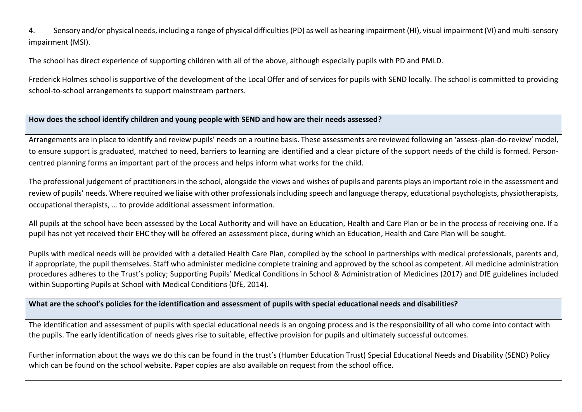4. Sensory and/or physical needs, including a range of physical difficulties (PD) as well as hearing impairment (HI), visual impairment (VI) and multi-sensory impairment (MSI).

The school has direct experience of supporting children with all of the above, although especially pupils with PD and PMLD.

Frederick Holmes school is supportive of the development of the Local Offer and of services for pupils with SEND locally. The school is committed to providing school-to-school arrangements to support mainstream partners.

**How does the school identify children and young people with SEND and how are their needs assessed?**

Arrangements are in place to identify and review pupils' needs on a routine basis. These assessments are reviewed following an 'assess-plan-do-review' model, to ensure support is graduated, matched to need, barriers to learning are identified and a clear picture of the support needs of the child is formed. Personcentred planning forms an important part of the process and helps inform what works for the child.

The professional judgement of practitioners in the school, alongside the views and wishes of pupils and parents plays an important role in the assessment and review of pupils' needs. Where required we liaise with other professionals including speech and language therapy, educational psychologists, physiotherapists, occupational therapists, … to provide additional assessment information.

All pupils at the school have been assessed by the Local Authority and will have an Education, Health and Care Plan or be in the process of receiving one. If a pupil has not yet received their EHC they will be offered an assessment place, during which an Education, Health and Care Plan will be sought.

Pupils with medical needs will be provided with a detailed Health Care Plan, compiled by the school in partnerships with medical professionals, parents and, if appropriate, the pupil themselves. Staff who administer medicine complete training and approved by the school as competent. All medicine administration procedures adheres to the Trust's policy; Supporting Pupils' Medical Conditions in School & Administration of Medicines (2017) and DfE guidelines included within Supporting Pupils at School with Medical Conditions (DfE, 2014).

**What are the school's policies for the identification and assessment of pupils with special educational needs and disabilities?**

The identification and assessment of pupils with special educational needs is an ongoing process and is the responsibility of all who come into contact with the pupils. The early identification of needs gives rise to suitable, effective provision for pupils and ultimately successful outcomes.

Further information about the ways we do this can be found in the trust's (Humber Education Trust) Special Educational Needs and Disability (SEND) Policy which can be found on the school website. Paper copies are also available on request from the school office.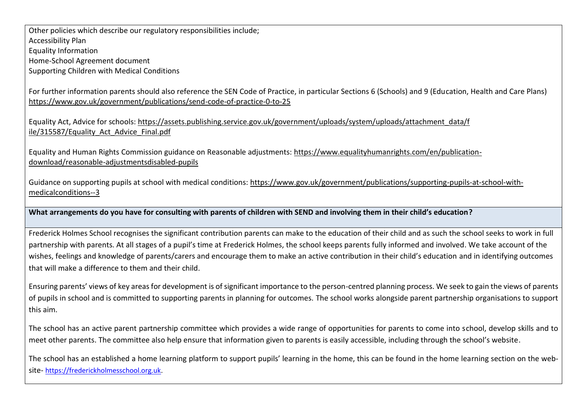Other policies which describe our regulatory responsibilities include; Accessibility Plan Equality Information Home-School Agreement document

Supporting Children with Medical Conditions

For further information parents should also reference the SEN Code of Practice, in particular Sections 6 (Schools) and 9 (Education, Health and Care Plans) <https://www.gov.uk/government/publications/send-code-of-practice-0-to-25>

Equality Act, Advice for schools: [https://assets.publishing.service.gov.uk/government/uploads/system/uploads/attachment\\_data/f](https://assets.publishing.service.gov.uk/government/uploads/system/uploads/attachment_data/f%20ile/315587/Equality_Act_Advice_Final.pdf)  [ile/315587/Equality\\_Act\\_Advice\\_Final.pdf](https://assets.publishing.service.gov.uk/government/uploads/system/uploads/attachment_data/f%20ile/315587/Equality_Act_Advice_Final.pdf)

Equality and Human Rights Commission guidance on Reasonable adjustments: [https://www.equalityhumanrights.com/en/publication](https://www.equalityhumanrights.com/en/publication-download/reasonable-adjustmentsdisabled-pupils)[download/reasonable-adjustmentsdisabled-pupils](https://www.equalityhumanrights.com/en/publication-download/reasonable-adjustmentsdisabled-pupils) 

Guidance on supporting pupils at school with medical conditions: [https://www.gov.uk/government/publications/supporting-pupils-at-school-with](https://www.gov.uk/government/publications/supporting-pupils-at-school-with-medicalconditions--3)[medicalconditions--3](https://www.gov.uk/government/publications/supporting-pupils-at-school-with-medicalconditions--3)

**What arrangements do you have for consulting with parents of children with SEND and involving them in their child's education?**

Frederick Holmes School recognises the significant contribution parents can make to the education of their child and as such the school seeks to work in full partnership with parents. At all stages of a pupil's time at Frederick Holmes, the school keeps parents fully informed and involved. We take account of the wishes, feelings and knowledge of parents/carers and encourage them to make an active contribution in their child's education and in identifying outcomes that will make a difference to them and their child.

Ensuring parents' views of key areas for development is of significant importance to the person-centred planning process. We seek to gain the views of parents of pupils in school and is committed to supporting parents in planning for outcomes. The school works alongside parent partnership organisations to support this aim.

The school has an active parent partnership committee which provides a wide range of opportunities for parents to come into school, develop skills and to meet other parents. The committee also help ensure that information given to parents is easily accessible, including through the school's website.

The school has an established a home learning platform to support pupils' learning in the home, this can be found in the home learning section on the website- [https://frederickholmesschool.org.uk.](https://frederickholmesschool.org.uk/)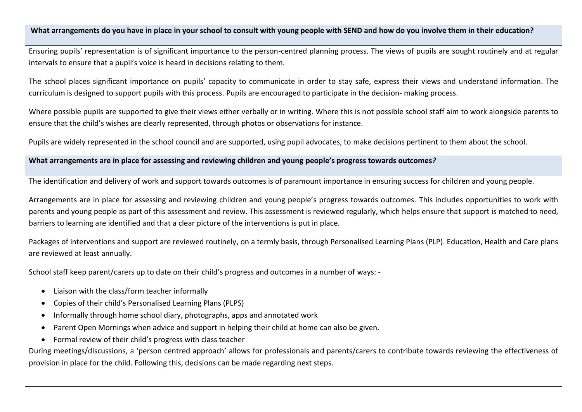**What arrangements do you have in place in your school to consult with young people with SEND and how do you involve them in their education?** 

Ensuring pupils' representation is of significant importance to the person-centred planning process. The views of pupils are sought routinely and at regular intervals to ensure that a pupil's voice is heard in decisions relating to them.

The school places significant importance on pupils' capacity to communicate in order to stay safe, express their views and understand information. The curriculum is designed to support pupils with this process. Pupils are encouraged to participate in the decision- making process.

Where possible pupils are supported to give their views either verbally or in writing. Where this is not possible school staff aim to work alongside parents to ensure that the child's wishes are clearly represented, through photos or observations for instance.

Pupils are widely represented in the school council and are supported, using pupil advocates, to make decisions pertinent to them about the school.

**What arrangements are in place for assessing and reviewing children and young people's progress towards outcomes***?*

The identification and delivery of work and support towards outcomes is of paramount importance in ensuring success for children and young people.

Arrangements are in place for assessing and reviewing children and young people's progress towards outcomes. This includes opportunities to work with parents and young people as part of this assessment and review. This assessment is reviewed regularly, which helps ensure that support is matched to need, barriers to learning are identified and that a clear picture of the interventions is put in place.

Packages of interventions and support are reviewed routinely, on a termly basis, through Personalised Learning Plans (PLP). Education, Health and Care plans are reviewed at least annually.

School staff keep parent/carers up to date on their child's progress and outcomes in a number of ways: -

- Liaison with the class/form teacher informally
- Copies of their child's Personalised Learning Plans (PLPS)
- Informally through home school diary, photographs, apps and annotated work
- Parent Open Mornings when advice and support in helping their child at home can also be given.
- Formal review of their child's progress with class teacher

During meetings/discussions, a 'person centred approach' allows for professionals and parents/carers to contribute towards reviewing the effectiveness of provision in place for the child. Following this, decisions can be made regarding next steps.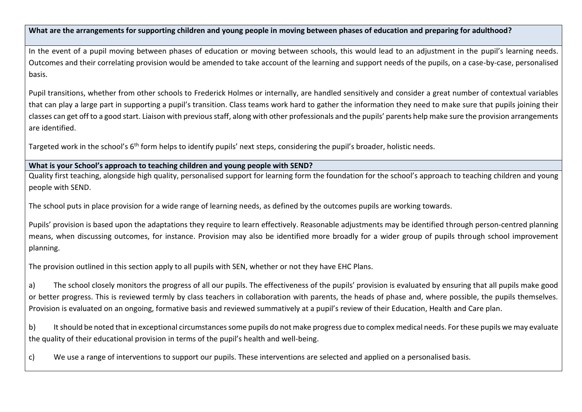**What are the arrangements for supporting children and young people in moving between phases of education and preparing for adulthood?**

In the event of a pupil moving between phases of education or moving between schools, this would lead to an adjustment in the pupil's learning needs. Outcomes and their correlating provision would be amended to take account of the learning and support needs of the pupils, on a case-by-case, personalised basis.

Pupil transitions, whether from other schools to Frederick Holmes or internally, are handled sensitively and consider a great number of contextual variables that can play a large part in supporting a pupil's transition. Class teams work hard to gather the information they need to make sure that pupils joining their classes can get off to a good start. Liaison with previous staff, along with other professionals and the pupils' parents help make sure the provision arrangements are identified.

Targeted work in the school's 6<sup>th</sup> form helps to identify pupils' next steps, considering the pupil's broader, holistic needs.

# **What is your School's approach to teaching children and young people with SEND?**

Quality first teaching, alongside high quality, personalised support for learning form the foundation for the school's approach to teaching children and young people with SEND.

The school puts in place provision for a wide range of learning needs, as defined by the outcomes pupils are working towards.

Pupils' provision is based upon the adaptations they require to learn effectively. Reasonable adjustments may be identified through person-centred planning means, when discussing outcomes, for instance. Provision may also be identified more broadly for a wider group of pupils through school improvement planning.

The provision outlined in this section apply to all pupils with SEN, whether or not they have EHC Plans.

a) The school closely monitors the progress of all our pupils. The effectiveness of the pupils' provision is evaluated by ensuring that all pupils make good or better progress. This is reviewed termly by class teachers in collaboration with parents, the heads of phase and, where possible, the pupils themselves. Provision is evaluated on an ongoing, formative basis and reviewed summatively at a pupil's review of their Education, Health and Care plan.

b) It should be noted that in exceptional circumstances some pupils do not make progress due to complex medical needs. For these pupils we may evaluate the quality of their educational provision in terms of the pupil's health and well-being.

c) We use a range of interventions to support our pupils. These interventions are selected and applied on a personalised basis.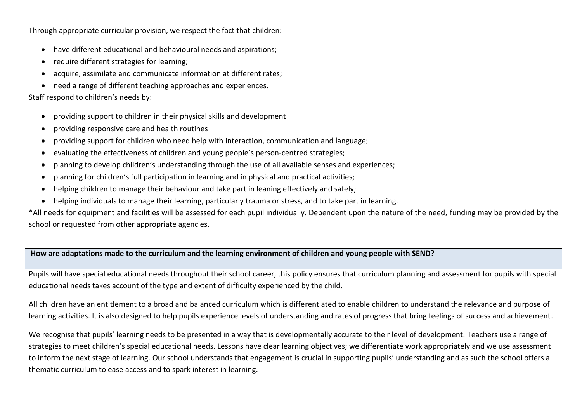Through appropriate curricular provision, we respect the fact that children:

- have different educational and behavioural needs and aspirations;
- require different strategies for learning;
- acquire, assimilate and communicate information at different rates;
- need a range of different teaching approaches and experiences.

### Staff respond to children's needs by:

- providing support to children in their physical skills and development
- providing responsive care and health routines
- providing support for children who need help with interaction, communication and language;
- evaluating the effectiveness of children and young people's person-centred strategies;
- planning to develop children's understanding through the use of all available senses and experiences;
- planning for children's full participation in learning and in physical and practical activities;
- helping children to manage their behaviour and take part in leaning effectively and safely;
- helping individuals to manage their learning, particularly trauma or stress, and to take part in learning.

\*All needs for equipment and facilities will be assessed for each pupil individually. Dependent upon the nature of the need, funding may be provided by the school or requested from other appropriate agencies.

#### **How are adaptations made to the curriculum and the learning environment of children and young people with SEND?**

Pupils will have special educational needs throughout their school career, this policy ensures that curriculum planning and assessment for pupils with special educational needs takes account of the type and extent of difficulty experienced by the child.

All children have an entitlement to a broad and balanced curriculum which is differentiated to enable children to understand the relevance and purpose of learning activities. It is also designed to help pupils experience levels of understanding and rates of progress that bring feelings of success and achievement.

We recognise that pupils' learning needs to be presented in a way that is developmentally accurate to their level of development. Teachers use a range of strategies to meet children's special educational needs. Lessons have clear learning objectives; we differentiate work appropriately and we use assessment to inform the next stage of learning. Our school understands that engagement is crucial in supporting pupils' understanding and as such the school offers a thematic curriculum to ease access and to spark interest in learning.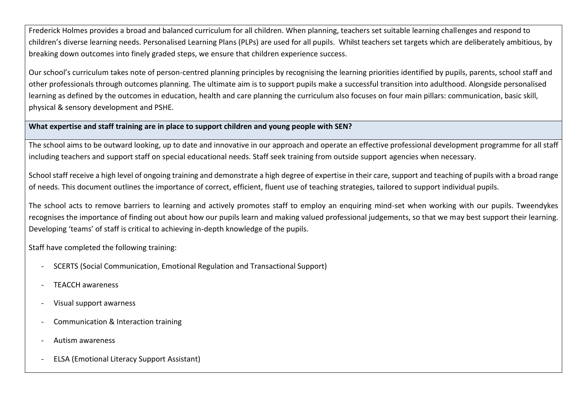Frederick Holmes provides a broad and balanced curriculum for all children. When planning, teachers set suitable learning challenges and respond to children's diverse learning needs. Personalised Learning Plans (PLPs) are used for all pupils. Whilst teachers set targets which are deliberately ambitious, by breaking down outcomes into finely graded steps, we ensure that children experience success.

Our school's curriculum takes note of person-centred planning principles by recognising the learning priorities identified by pupils, parents, school staff and other professionals through outcomes planning. The ultimate aim is to support pupils make a successful transition into adulthood. Alongside personalised learning as defined by the outcomes in education, health and care planning the curriculum also focuses on four main pillars: communication, basic skill, physical & sensory development and PSHE.

#### **What expertise and staff training are in place to support children and young people with SEN?**

The school aims to be outward looking, up to date and innovative in our approach and operate an effective professional development programme for all staff including teachers and support staff on special educational needs. Staff seek training from outside support agencies when necessary.

School staff receive a high level of ongoing training and demonstrate a high degree of expertise in their care, support and teaching of pupils with a broad range of needs. This document outlines the importance of correct, efficient, fluent use of teaching strategies, tailored to support individual pupils.

The school acts to remove barriers to learning and actively promotes staff to employ an enquiring mind-set when working with our pupils. Tweendykes recognises the importance of finding out about how our pupils learn and making valued professional judgements, so that we may best support their learning. Developing 'teams' of staff is critical to achieving in-depth knowledge of the pupils.

Staff have completed the following training:

- SCERTS (Social Communication, Emotional Regulation and Transactional Support)
- TEACCH awareness
- Visual support awarness
- Communication & Interaction training
- Autism awareness
- ELSA (Emotional Literacy Support Assistant)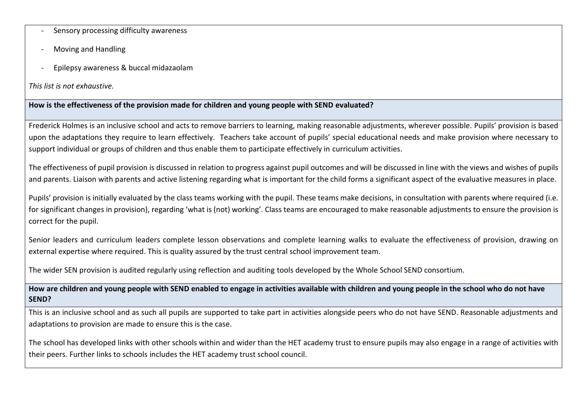- Sensory processing difficulty awareness
- Moving and Handling
- Epilepsy awareness & buccal midazaolam

*This list is not exhaustive.*

#### **How is the effectiveness of the provision made for children and young people with SEND evaluated?**

Frederick Holmes is an inclusive school and acts to remove barriers to learning, making reasonable adjustments, wherever possible. Pupils' provision is based upon the adaptations they require to learn effectively. Teachers take account of pupils' special educational needs and make provision where necessary to support individual or groups of children and thus enable them to participate effectively in curriculum activities.

The effectiveness of pupil provision is discussed in relation to progress against pupil outcomes and will be discussed in line with the views and wishes of pupils and parents. Liaison with parents and active listening regarding what is important for the child forms a significant aspect of the evaluative measures in place.

Pupils' provision is initially evaluated by the class teams working with the pupil. These teams make decisions, in consultation with parents where required (i.e. for significant changes in provision), regarding 'what is (not) working'. Class teams are encouraged to make reasonable adjustments to ensure the provision is correct for the pupil.

Senior leaders and curriculum leaders complete lesson observations and complete learning walks to evaluate the effectiveness of provision, drawing on external expertise where required. This is quality assured by the trust central school improvement team.

The wider SEN provision is audited regularly using reflection and auditing tools developed by the Whole School SEND consortium.

**How are children and young people with SEND enabled to engage in activities available with children and young people in the school who do not have SEND?**

This is an inclusive school and as such all pupils are supported to take part in activities alongside peers who do not have SEND. Reasonable adjustments and adaptations to provision are made to ensure this is the case.

The school has developed links with other schools within and wider than the HET academy trust to ensure pupils may also engage in a range of activities with their peers. Further links to schools includes the HET academy trust school council.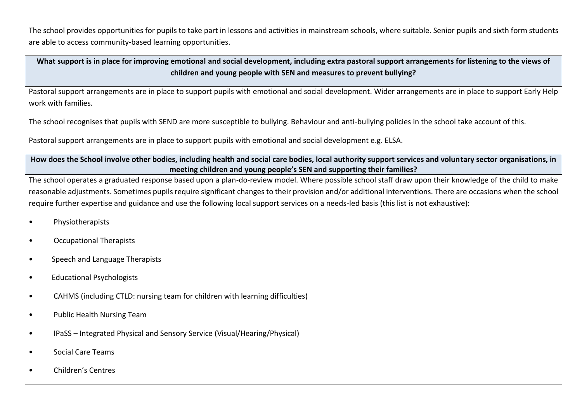The school provides opportunities for pupils to take part in lessons and activities in mainstream schools, where suitable. Senior pupils and sixth form students are able to access community-based learning opportunities.

**What support is in place for improving emotional and social development, including extra pastoral support arrangements for listening to the views of children and young people with SEN and measures to prevent bullying?**

Pastoral support arrangements are in place to support pupils with emotional and social development. Wider arrangements are in place to support Early Help work with families.

The school recognises that pupils with SEND are more susceptible to bullying. Behaviour and anti-bullying policies in the school take account of this.

Pastoral support arrangements are in place to support pupils with emotional and social development e.g. ELSA.

**How does the School involve other bodies, including health and social care bodies, local authority support services and voluntary sector organisations, in meeting children and young people's SEN and supporting their families?**

The school operates a graduated response based upon a plan-do-review model. Where possible school staff draw upon their knowledge of the child to make reasonable adjustments. Sometimes pupils require significant changes to their provision and/or additional interventions. There are occasions when the school require further expertise and guidance and use the following local support services on a needs-led basis (this list is not exhaustive):

- Physiotherapists
- Occupational Therapists
- Speech and Language Therapists
- Educational Psychologists
- CAHMS (including CTLD: nursing team for children with learning difficulties)
- Public Health Nursing Team
- IPaSS Integrated Physical and Sensory Service (Visual/Hearing/Physical)
- Social Care Teams
- Children's Centres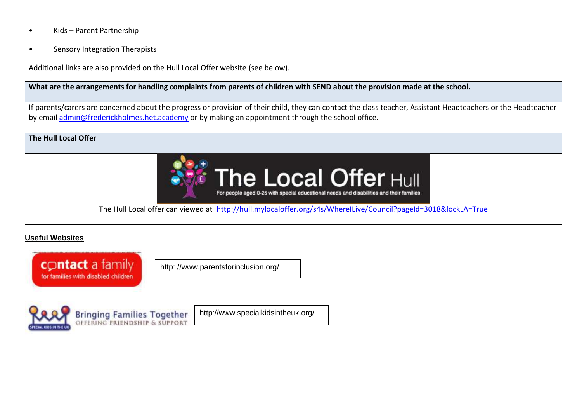- Kids Parent Partnership
- Sensory Integration Therapists

Additional links are also provided on the Hull Local Offer website (see below).

#### **What are the arrangements for handling complaints from parents of children with SEND about the provision made at the school.**

If parents/carers are concerned about the progress or provision of their child, they can contact the class teacher, Assistant Headteachers or the Headteacher by email [admin@frederickholmes.het.academy](mailto:admin@frederickholmes.het.academy) or by making an appointment through the school office.

# **The Hull Local Offer**



The Hull Local offer can viewed at <http://hull.mylocaloffer.org/s4s/WhereILive/Council?pageId=3018&lockLA=True>

### **Useful Websites**



http: //www.parentsforinclusion.org/



http://www.specialkidsintheuk.org/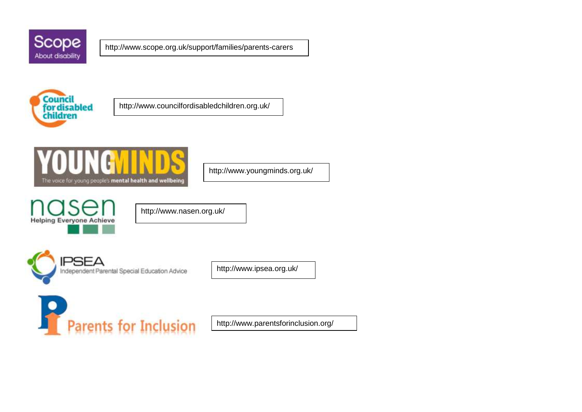

http://www.scope.org.uk/support/families/parents-carers



http://www.councilfordisabledchildren.org.uk/



http://www.youngminds.org.uk/



http://www.nasen.org.uk/



http://www.ipsea.org.uk/



http://www.parentsforinclusion.org/